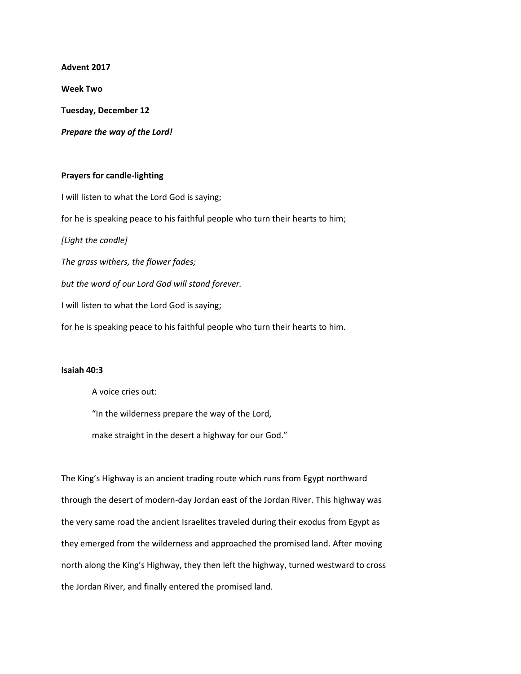**Advent 2017**

**Week Two**

**Tuesday, December 12**

*Prepare the way of the Lord!*

## **Prayers for candle-lighting**

I will listen to what the Lord God is saying; for he is speaking peace to his faithful people who turn their hearts to him; *[Light the candle] The grass withers, the flower fades; but the word of our Lord God will stand forever.* I will listen to what the Lord God is saying; for he is speaking peace to his faithful people who turn their hearts to him.

## **Isaiah 40:3**

A voice cries out:

"In the wilderness prepare the way of the Lord,

make straight in the desert a highway for our God."

The King's Highway is an ancient trading route which runs from Egypt northward through the desert of modern-day Jordan east of the Jordan River. This highway was the very same road the ancient Israelites traveled during their exodus from Egypt as they emerged from the wilderness and approached the promised land. After moving north along the King's Highway, they then left the highway, turned westward to cross the Jordan River, and finally entered the promised land.